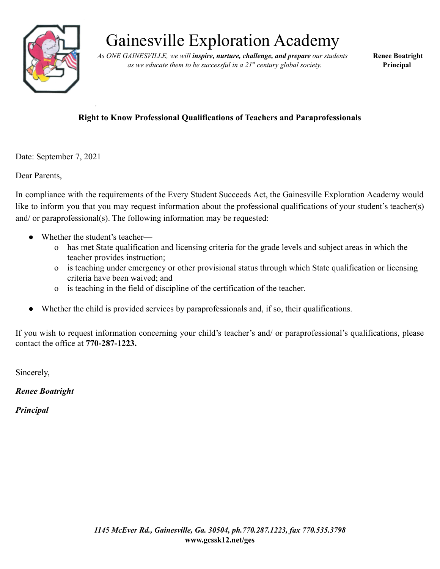

# Gainesville Exploration Academy

*As ONE GAINESVILLE, we will inspire, nurture, challenge, and prepare our students* **Renee Boatright** *as we educate them to be successful in a 21 st century global society.* **Principal**

#### **Right to Know Professional Qualifications of Teachers and Paraprofessionals**

Date: September 7, 2021

Dear Parents,

In compliance with the requirements of the Every Student Succeeds Act, the Gainesville Exploration Academy would like to inform you that you may request information about the professional qualifications of your student's teacher(s) and/ or paraprofessional(s). The following information may be requested:

Whether the student's teacher—

*.*

- o has met State qualification and licensing criteria for the grade levels and subject areas in which the teacher provides instruction;
- o is teaching under emergency or other provisional status through which State qualification or licensing criteria have been waived; and
- o is teaching in the field of discipline of the certification of the teacher.
- Whether the child is provided services by paraprofessionals and, if so, their qualifications.

If you wish to request information concerning your child's teacher's and/ or paraprofessional's qualifications, please contact the office at **770-287-1223.**

Sincerely,

*Renee Boatright*

*Principal*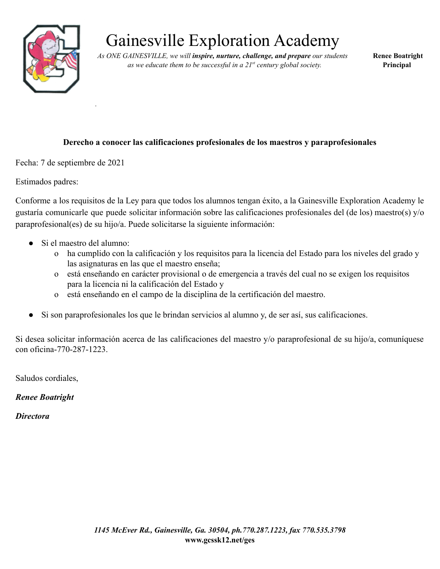

# Gainesville Exploration Academy

*As ONE GAINESVILLE, we will inspire, nurture, challenge, and prepare our students* **Renee Boatright** *as we educate them to be successful in a 21 st century global society.* **Principal**

#### **Derecho a conocer las calificaciones profesionales de los maestros y paraprofesionales**

Fecha: 7 de septiembre de 2021

*.*

Estimados padres:

Conforme a los requisitos de la Ley para que todos los alumnos tengan éxito, a la Gainesville Exploration Academy le gustaría comunicarle que puede solicitar información sobre las calificaciones profesionales del (de los) maestro(s) y/o paraprofesional(es) de su hijo/a. Puede solicitarse la siguiente información:

- Si el maestro del alumno:
	- o ha cumplido con la calificación y los requisitos para la licencia del Estado para los niveles del grado y las asignaturas en las que el maestro enseña;
	- o está enseñando en carácter provisional o de emergencia a través del cual no se exigen los requisitos para la licencia ni la calificación del Estado y
	- o está enseñando en el campo de la disciplina de la certificación del maestro.
- Si son paraprofesionales los que le brindan servicios al alumno y, de ser así, sus calificaciones.

Si desea solicitar información acerca de las calificaciones del maestro y/o paraprofesional de su hijo/a, comuníquese con oficina-770-287-1223.

Saludos cordiales,

*Renee Boatright*

*Directora*